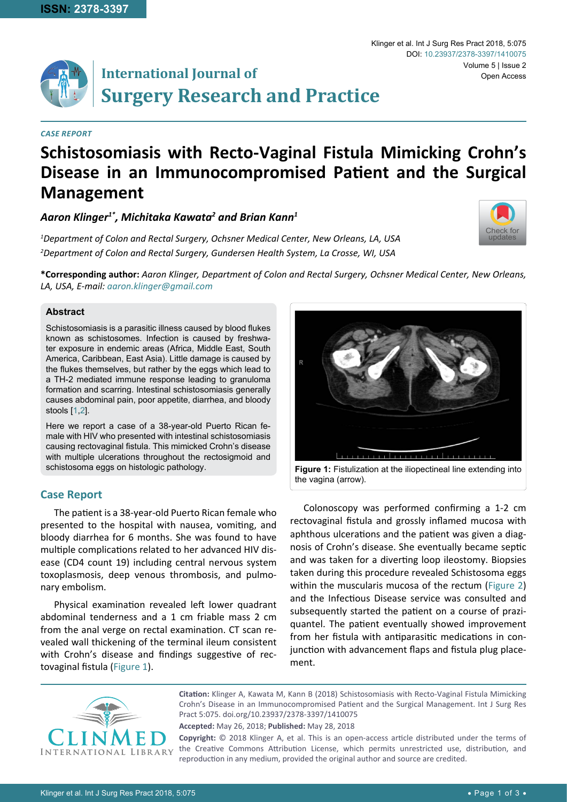# **International Journal of Surgery Research and Practice**

#### *Case Report*

## **Schistosomiasis with Recto-Vaginal Fistula Mimicking Crohn's Disease in an Immunocompromised Patient and the Surgical Management**

### *Aaron Klinger1\*, Michitaka Kawata2 and Brian Kann1*

*1 Department of Colon and Rectal Surgery, Ochsner Medical Center, New Orleans, LA, USA 2 Department of Colon and Rectal Surgery, Gundersen Health System, La Crosse, WI, USA*



**\*Corresponding author:** *Aaron Klinger, Department of Colon and Rectal Surgery, Ochsner Medical Center, New Orleans, LA, USA, E-mail: aaron.klinger@gmail.com*

#### **Abstract**

Schistosomiasis is a parasitic illness caused by blood flukes known as schistosomes. Infection is caused by freshwater exposure in endemic areas (Africa, Middle East, South America, Caribbean, East Asia). Little damage is caused by the flukes themselves, but rather by the eggs which lead to a TH-2 mediated immune response leading to granuloma formation and scarring. Intestinal schistosomiasis generally causes abdominal pain, poor appetite, diarrhea, and bloody stools [[1,](#page-1-1)[2](#page-1-2)].

Here we report a case of a 38-year-old Puerto Rican female with HIV who presented with intestinal schistosomiasis causing rectovaginal fistula. This mimicked Crohn's disease with multiple ulcerations throughout the rectosigmoid and schistosoma eggs on histologic pathology.

#### **Case Report**

The patient is a 38-year-old Puerto Rican female who presented to the hospital with nausea, vomiting, and bloody diarrhea for 6 months. She was found to have multiple complications related to her advanced HIV disease (CD4 count 19) including central nervous system toxoplasmosis, deep venous thrombosis, and pulmonary embolism.

Physical examination revealed left lower quadrant abdominal tenderness and a 1 cm friable mass 2 cm from the anal verge on rectal examination. CT scan revealed wall thickening of the terminal ileum consistent with Crohn's disease and findings suggestive of rectovaginal fistula ([Figure 1](#page-0-0)).

<span id="page-0-0"></span>

**Figure 1:** Fistulization at the iliopectineal line extending into the vagina (arrow).

Colonoscopy was performed confirming a 1-2 cm rectovaginal fistula and grossly inflamed mucosa with aphthous ulcerations and the patient was given a diagnosis of Crohn's disease. She eventually became septic and was taken for a diverting loop ileostomy. Biopsies taken during this procedure revealed Schistosoma eggs within the muscularis mucosa of the rectum ([Figure 2](#page-1-0)) and the Infectious Disease service was consulted and subsequently started the patient on a course of praziquantel. The patient eventually showed improvement from her fistula with antiparasitic medications in conjunction with advancement flaps and fistula plug placement.



**Citation:** Klinger A, Kawata M, Kann B (2018) Schistosomiasis with Recto-Vaginal Fistula Mimicking Crohn's Disease in an Immunocompromised Patient and the Surgical Management. Int J Surg Res Pract 5:075. [doi.org/10.23937/2378-3397/1410075](https://doi.org/10.23937/2378-3397/1410075)

**Accepted:** May 26, 2018; **Published:** May 28, 2018

**Copyright:** © 2018 Klinger A, et al. This is an open-access article distributed under the terms of the Creative Commons Attribution License, which permits unrestricted use, distribution, and reproduction in any medium, provided the original author and source are credited.

Klinger et al. Int J Surg Res Pract 2018, 5:075 Volume 5 | Issue 2 DOI: [10.23937/2378-3397/1410075](https://doi.org/10.23937/2378-3397/1410075) Open Access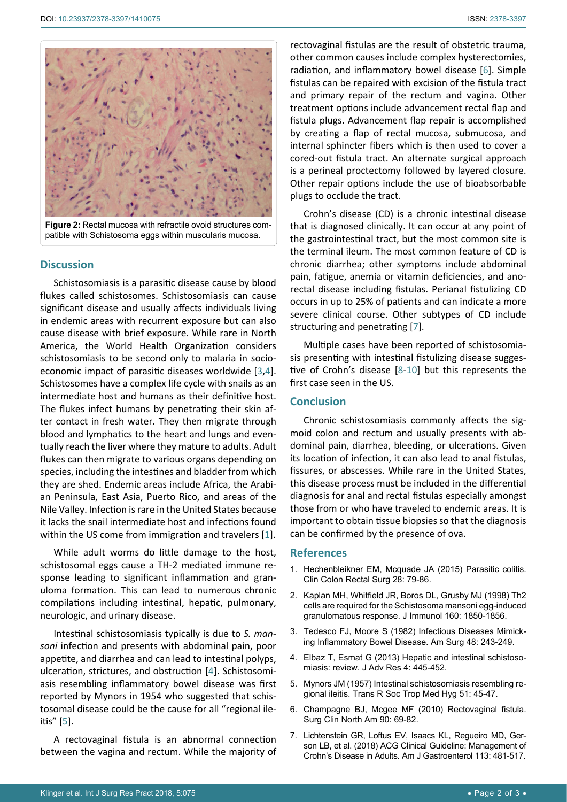<span id="page-1-0"></span>

**Figure 2:** Rectal mucosa with refractile ovoid structures compatible with Schistosoma eggs within muscularis mucosa.

#### **Discussion**

Schistosomiasis is a parasitic disease cause by blood flukes called schistosomes. Schistosomiasis can cause significant disease and usually affects individuals living in endemic areas with recurrent exposure but can also cause disease with brief exposure. While rare in North America, the World Health Organization considers schistosomiasis to be second only to malaria in socioeconomic impact of parasitic diseases worldwide [\[3](#page-1-5),[4](#page-1-6)]. Schistosomes have a complex life cycle with snails as an intermediate host and humans as their definitive host. The flukes infect humans by penetrating their skin after contact in fresh water. They then migrate through blood and lymphatics to the heart and lungs and eventually reach the liver where they mature to adults. Adult flukes can then migrate to various organs depending on species, including the intestines and bladder from which they are shed. Endemic areas include Africa, the Arabian Peninsula, East Asia, Puerto Rico, and areas of the Nile Valley. Infection is rare in the United States because it lacks the snail intermediate host and infections found within the US come from immigration and travelers [[1](#page-1-1)].

While adult worms do little damage to the host, schistosomal eggs cause a TH-2 mediated immune response leading to significant inflammation and granuloma formation. This can lead to numerous chronic compilations including intestinal, hepatic, pulmonary, neurologic, and urinary disease.

Intestinal schistosomiasis typically is due to *S. mansoni* infection and presents with abdominal pain, poor appetite, and diarrhea and can lead to intestinal polyps, ulceration, strictures, and obstruction [[4](#page-1-6)]. Schistosomiasis resembling inflammatory bowel disease was first reported by Mynors in 1954 who suggested that schistosomal disease could be the cause for all "regional ileitis" [[5](#page-1-7)].

A rectovaginal fistula is an abnormal connection between the vagina and rectum. While the majority of rectovaginal fistulas are the result of obstetric trauma, other common causes include complex hysterectomies, radiation, and inflammatory bowel disease [[6](#page-1-3)]. Simple fistulas can be repaired with excision of the fistula tract and primary repair of the rectum and vagina. Other treatment options include advancement rectal flap and fistula plugs. Advancement flap repair is accomplished by creating a flap of rectal mucosa, submucosa, and internal sphincter fibers which is then used to cover a cored-out fistula tract. An alternate surgical approach is a perineal proctectomy followed by layered closure. Other repair options include the use of bioabsorbable plugs to occlude the tract.

Crohn's disease (CD) is a chronic intestinal disease that is diagnosed clinically. It can occur at any point of the gastrointestinal tract, but the most common site is the terminal ileum. The most common feature of CD is chronic diarrhea; other symptoms include abdominal pain, fatigue, anemia or vitamin deficiencies, and anorectal disease including fistulas. Perianal fistulizing CD occurs in up to 25% of patients and can indicate a more severe clinical course. Other subtypes of CD include structuring and penetrating [[7](#page-1-4)].

Multiple cases have been reported of schistosomiasis presenting with intestinal fistulizing disease suggestive of Crohn's disease [[8-](#page-2-0)[10](#page-2-1)] but this represents the first case seen in the US.

#### **Conclusion**

Chronic schistosomiasis commonly affects the sigmoid colon and rectum and usually presents with abdominal pain, diarrhea, bleeding, or ulcerations. Given its location of infection, it can also lead to anal fistulas, fissures, or abscesses. While rare in the United States, this disease process must be included in the differential diagnosis for anal and rectal fistulas especially amongst those from or who have traveled to endemic areas. It is important to obtain tissue biopsies so that the diagnosis can be confirmed by the presence of ova.

#### **References**

- <span id="page-1-1"></span>1. [Hechenbleikner EM, Mcquade JA \(2015\) Parasitic colitis.](https://www.ncbi.nlm.nih.gov/pmc/articles/PMC4442724/)  [Clin Colon Rectal Surg 28: 79-86.](https://www.ncbi.nlm.nih.gov/pmc/articles/PMC4442724/)
- <span id="page-1-2"></span>2. [Kaplan MH, Whitfield JR, Boros DL, Grusby MJ \(1998\) Th2](https://www.ncbi.nlm.nih.gov/pubmed/9469446)  [cells are required for the Schistosoma mansoni egg-induced](https://www.ncbi.nlm.nih.gov/pubmed/9469446)  [granulomatous response. J Immunol 160: 1850-1856.](https://www.ncbi.nlm.nih.gov/pubmed/9469446)
- <span id="page-1-5"></span>3. [Tedesco FJ, Moore S \(1982\) Infectious Diseases Mimick](https://www.ncbi.nlm.nih.gov/pubmed/6282158)[ing Inflammatory Bowel Disease. Am Surg 48: 243-249.](https://www.ncbi.nlm.nih.gov/pubmed/6282158)
- <span id="page-1-6"></span>4. [Elbaz T, Esmat G \(2013\) Hepatic and intestinal schistoso](https://www.ncbi.nlm.nih.gov/pubmed/25685451)[miasis: review. J Adv Res 4: 445-452.](https://www.ncbi.nlm.nih.gov/pubmed/25685451)
- <span id="page-1-7"></span>5. [Mynors JM \(1957\) Intestinal schistosomiasis resembling re](https://www.ncbi.nlm.nih.gov/pubmed/13409591)[gional ileitis. Trans R Soc Trop Med Hyg 51: 45-47.](https://www.ncbi.nlm.nih.gov/pubmed/13409591)
- <span id="page-1-3"></span>6. [Champagne BJ, Mcgee MF \(2010\) Rectovaginal fistula.](https://www.ncbi.nlm.nih.gov/pubmed/20109633)  [Surg Clin North Am 90: 69-82.](https://www.ncbi.nlm.nih.gov/pubmed/20109633)
- <span id="page-1-4"></span>7. [Lichtenstein GR, Loftus EV, Isaacs KL, Regueiro MD, Ger](https://www.ncbi.nlm.nih.gov/pubmed/29610508)[son LB, et al. \(2018\) ACG Clinical Guideline: Management of](https://www.ncbi.nlm.nih.gov/pubmed/29610508)  [Crohn's Disease in Adults. Am J Gastroenterol 113: 481-517.](https://www.ncbi.nlm.nih.gov/pubmed/29610508)